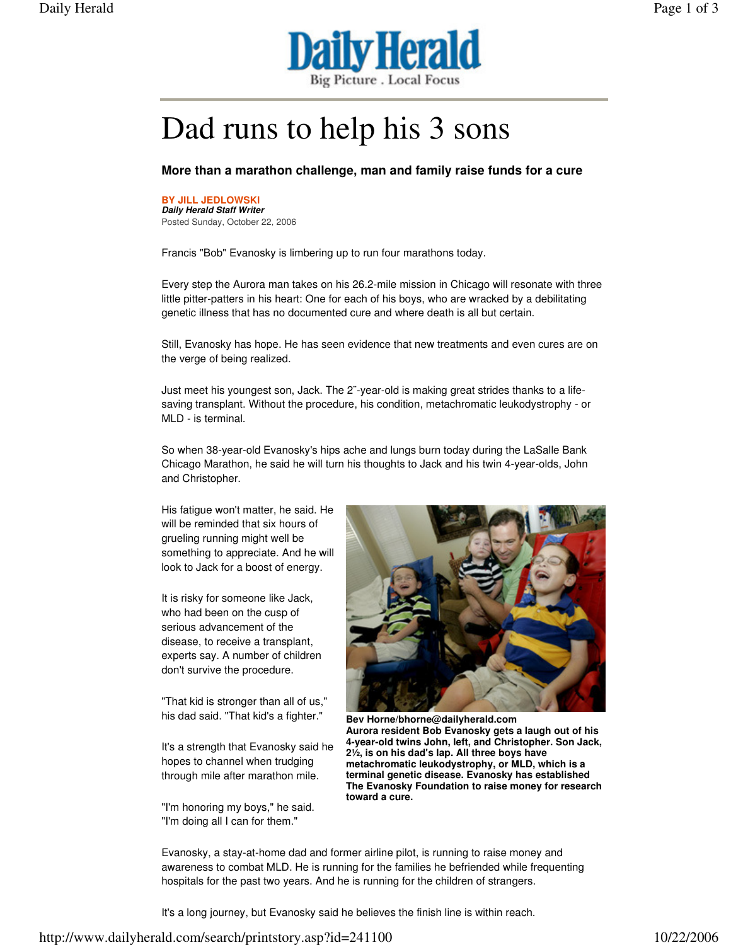

## Dad runs to help his 3 sons

## **More than a marathon challenge, man and family raise funds for a cure**

**BY JILL JEDLOWSKI Daily Herald Staff Writer** Posted Sunday, October 22, 2006

Francis "Bob" Evanosky is limbering up to run four marathons today.

Every step the Aurora man takes on his 26.2-mile mission in Chicago will resonate with three little pitter-patters in his heart: One for each of his boys, who are wracked by a debilitating genetic illness that has no documented cure and where death is all but certain.

Still, Evanosky has hope. He has seen evidence that new treatments and even cures are on the verge of being realized.

Just meet his youngest son, Jack. The 2¨-year-old is making great strides thanks to a lifesaving transplant. Without the procedure, his condition, metachromatic leukodystrophy - or MLD - is terminal.

So when 38-year-old Evanosky's hips ache and lungs burn today during the LaSalle Bank Chicago Marathon, he said he will turn his thoughts to Jack and his twin 4-year-olds, John and Christopher.

His fatigue won't matter, he said. He will be reminded that six hours of grueling running might well be something to appreciate. And he will look to Jack for a boost of energy.

It is risky for someone like Jack, who had been on the cusp of serious advancement of the disease, to receive a transplant, experts say. A number of children don't survive the procedure.

"That kid is stronger than all of us," his dad said. "That kid's a fighter."

It's a strength that Evanosky said he hopes to channel when trudging through mile after marathon mile.

"I'm honoring my boys," he said. "I'm doing all I can for them."



**Bev Horne/bhorne@dailyherald.com Aurora resident Bob Evanosky gets a laugh out of his 4-year-old twins John, left, and Christopher. Son Jack, 2½, is on his dad's lap. All three boys have metachromatic leukodystrophy, or MLD, which is a terminal genetic disease. Evanosky has established The Evanosky Foundation to raise money for research toward a cure.** 

Evanosky, a stay-at-home dad and former airline pilot, is running to raise money and awareness to combat MLD. He is running for the families he befriended while frequenting hospitals for the past two years. And he is running for the children of strangers.

It's a long journey, but Evanosky said he believes the finish line is within reach.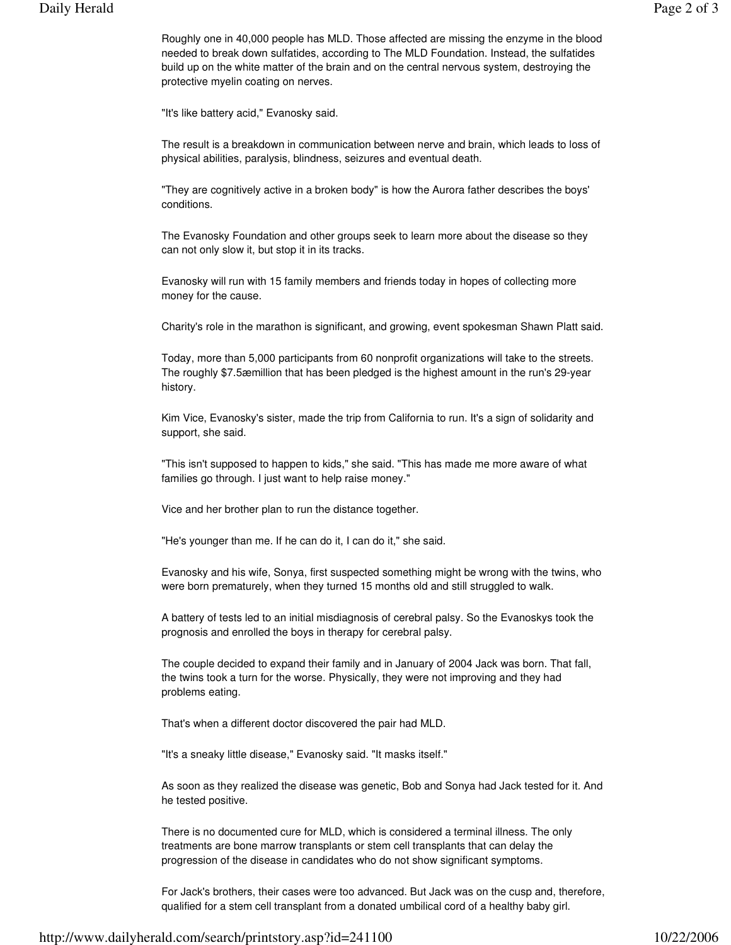Roughly one in 40,000 people has MLD. Those affected are missing the enzyme in the blood needed to break down sulfatides, according to The MLD Foundation. Instead, the sulfatides build up on the white matter of the brain and on the central nervous system, destroying the protective myelin coating on nerves.

"It's like battery acid," Evanosky said.

The result is a breakdown in communication between nerve and brain, which leads to loss of physical abilities, paralysis, blindness, seizures and eventual death.

"They are cognitively active in a broken body" is how the Aurora father describes the boys' conditions.

The Evanosky Foundation and other groups seek to learn more about the disease so they can not only slow it, but stop it in its tracks.

Evanosky will run with 15 family members and friends today in hopes of collecting more money for the cause.

Charity's role in the marathon is significant, and growing, event spokesman Shawn Platt said.

Today, more than 5,000 participants from 60 nonprofit organizations will take to the streets. The roughly \$7.5æmillion that has been pledged is the highest amount in the run's 29-year history.

Kim Vice, Evanosky's sister, made the trip from California to run. It's a sign of solidarity and support, she said.

"This isn't supposed to happen to kids," she said. "This has made me more aware of what families go through. I just want to help raise money."

Vice and her brother plan to run the distance together.

"He's younger than me. If he can do it, I can do it," she said.

Evanosky and his wife, Sonya, first suspected something might be wrong with the twins, who were born prematurely, when they turned 15 months old and still struggled to walk.

A battery of tests led to an initial misdiagnosis of cerebral palsy. So the Evanoskys took the prognosis and enrolled the boys in therapy for cerebral palsy.

The couple decided to expand their family and in January of 2004 Jack was born. That fall, the twins took a turn for the worse. Physically, they were not improving and they had problems eating.

That's when a different doctor discovered the pair had MLD.

"It's a sneaky little disease," Evanosky said. "It masks itself."

As soon as they realized the disease was genetic, Bob and Sonya had Jack tested for it. And he tested positive.

There is no documented cure for MLD, which is considered a terminal illness. The only treatments are bone marrow transplants or stem cell transplants that can delay the progression of the disease in candidates who do not show significant symptoms.

For Jack's brothers, their cases were too advanced. But Jack was on the cusp and, therefore, qualified for a stem cell transplant from a donated umbilical cord of a healthy baby girl.